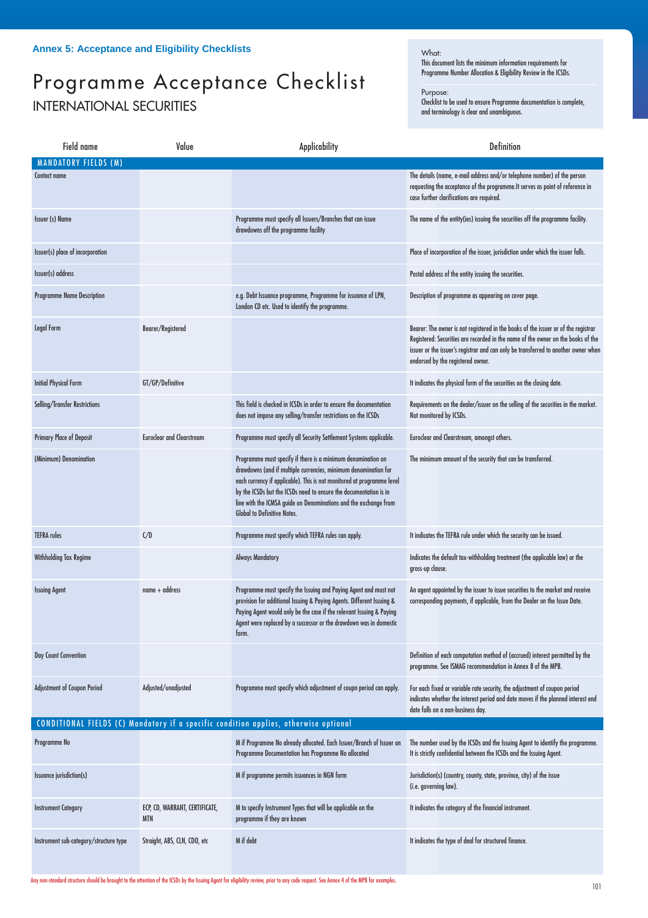## Programme Acceptance Checklist INTERNATIONAL SECURITIES

## What:

This document lists the minimum information requirements for Programme Number Allocation & Eligibility Review in the ICSDs.

## Purpose:

Checklist to be used to ensure Programme documentation is complete, and terminology is clear and unambiguous.

| Field name                                                                           | Value                                        | <b>Applicability</b>                                                                                                                                                                                                                                                                                                                                                                     | Definition                                                                                                                                                                                                                                                                                        |  |  |
|--------------------------------------------------------------------------------------|----------------------------------------------|------------------------------------------------------------------------------------------------------------------------------------------------------------------------------------------------------------------------------------------------------------------------------------------------------------------------------------------------------------------------------------------|---------------------------------------------------------------------------------------------------------------------------------------------------------------------------------------------------------------------------------------------------------------------------------------------------|--|--|
| <b>MANDATORY FIELDS (M)</b>                                                          |                                              |                                                                                                                                                                                                                                                                                                                                                                                          |                                                                                                                                                                                                                                                                                                   |  |  |
| Contact name                                                                         |                                              |                                                                                                                                                                                                                                                                                                                                                                                          | The details (name, e-mail address and/or telephone number) of the person<br>requesting the acceptance of the programme. It serves as point of reference in<br>case further clarifications are required.                                                                                           |  |  |
| <b>Issuer (s) Name</b>                                                               |                                              | Programme must specify all Issuers/Branches that can issue<br>drawdowns off the programme facility                                                                                                                                                                                                                                                                                       | The name of the entity(ies) issuing the securities off the programme facility.                                                                                                                                                                                                                    |  |  |
| Issuer(s) place of incorporation                                                     |                                              |                                                                                                                                                                                                                                                                                                                                                                                          | Place of incorporation of the issuer, jurisdiction under which the issuer falls.                                                                                                                                                                                                                  |  |  |
| Issuer(s) address                                                                    |                                              |                                                                                                                                                                                                                                                                                                                                                                                          | Postal address of the entity issuing the securities.                                                                                                                                                                                                                                              |  |  |
| <b>Programme Name Description</b>                                                    |                                              | e.g. Debt Issuance programme, Programme for issuance of LPN,<br>London CD etc. Used to identify the programme.                                                                                                                                                                                                                                                                           | Description of programme as appearing on cover page.                                                                                                                                                                                                                                              |  |  |
| Legal Form                                                                           | Bearer/Registered                            |                                                                                                                                                                                                                                                                                                                                                                                          | Bearer: The owner is not registered in the books of the issuer or of the registrar<br>Registered: Securities are recorded in the name of the owner on the books of the<br>issuer or the issuer's registrar and can only be transferred to another owner when<br>endorsed by the registered owner. |  |  |
| <b>Initial Physical Form</b>                                                         | GT/GP/Definitive                             |                                                                                                                                                                                                                                                                                                                                                                                          | It indicates the physical form of the securities on the closing date.                                                                                                                                                                                                                             |  |  |
| Selling/Transfer Restrictions                                                        |                                              | This field is checked in ICSDs in order to ensure the documentation<br>does not impose any selling/transfer restrictions on the ICSDs                                                                                                                                                                                                                                                    | Requirements on the dealer/issuer on the selling of the securities in the market.<br>Not monitored by ICSDs.                                                                                                                                                                                      |  |  |
| <b>Primary Place of Deposit</b>                                                      | <b>Euroclear and Clearstream</b>             | Programme must specify all Security Settlement Systems applicable.                                                                                                                                                                                                                                                                                                                       | Euroclear and Clearstream, amongst others.                                                                                                                                                                                                                                                        |  |  |
| (Minimum) Denomination                                                               |                                              | Programme must specify if there is a minimum denomination on<br>drawdowns (and if multiple currencies, minimum denomination for<br>each currency if applicable). This is not monitored at programme level<br>by the ICSDs but the ICSDs need to ensure the documentation is in<br>line with the ICMSA guide on Denominations and the exchange from<br><b>Global to Definitive Notes.</b> | The minimum amount of the security that can be transferred.                                                                                                                                                                                                                                       |  |  |
| <b>TEFRA</b> rules                                                                   | C/D                                          | Programme must specify which TEFRA rules can apply.                                                                                                                                                                                                                                                                                                                                      | It indicates the TEFRA rule under which the security can be issued.                                                                                                                                                                                                                               |  |  |
| <b>Withholding Tax Regime</b>                                                        |                                              | <b>Always Mandatory</b>                                                                                                                                                                                                                                                                                                                                                                  | Indicates the default tax-withholding treatment (the applicable law) or the<br>gross-up clause.                                                                                                                                                                                                   |  |  |
| <b>Issuing Agent</b>                                                                 | $name + address$                             | Programme must specify the Issuing and Paying Agent and must not<br>provision for additional Issuing & Paying Agents. Different Issuing &<br>Paying Agent would only be the case if the relevant Issuing & Paying<br>Agent were replaced by a successor or the drawdown was in domestic<br>torm.                                                                                         | An agent appointed by the issuer to issue securities to the market and receive<br>corresponding payments, if applicable, from the Dealer on the Issue Date.                                                                                                                                       |  |  |
| Day Count Convention                                                                 |                                              |                                                                                                                                                                                                                                                                                                                                                                                          | Definition of each computation method of (accrued) interest permitted by the<br>programme. See ISMAG recommendation in Annex 8 of the MPB.                                                                                                                                                        |  |  |
| <b>Adjustment of Coupon Period</b>                                                   | Adjusted/unadjusted                          | Programme must specify which adjustment of coupn period can apply.                                                                                                                                                                                                                                                                                                                       | For each fixed or variable rate security, the adjustment of coupon period<br>indicates whether the interest period and date moves if the planned interest end<br>date falls on a non-business day.                                                                                                |  |  |
| CONDITIONAL FIELDS (C) Mandatory if a specific condition applies, otherwise optional |                                              |                                                                                                                                                                                                                                                                                                                                                                                          |                                                                                                                                                                                                                                                                                                   |  |  |
| Programme No                                                                         |                                              | M if Programme No already allocated. Each Issuer/Branch of Issuer on<br>Programme Documentation has Programme No allocated                                                                                                                                                                                                                                                               | The number used by the ICSDs and the Issuing Agent to identify the programme.<br>It is strictly confidential between the ICSDs and the Issuing Agent.                                                                                                                                             |  |  |
| <b>Issuance jurisdiction(s)</b>                                                      |                                              | M if programme permits issuances in NGN form                                                                                                                                                                                                                                                                                                                                             | Jurisdiction(s) (country, county, state, province, city) of the issue<br>(i.e. governing law).                                                                                                                                                                                                    |  |  |
| <b>Instrument Category</b>                                                           | ECP, CD, WARRANT, CERTIFICATE,<br><b>MTN</b> | M to specify Instrument Types that will be applicable on the<br>programme if they are known                                                                                                                                                                                                                                                                                              | It indicates the category of the financial instrument.                                                                                                                                                                                                                                            |  |  |
| Instrument sub-category/structure type                                               | Straight, ABS, CLN, CDO, etc                 | M if debt                                                                                                                                                                                                                                                                                                                                                                                | It indicates the type of deal for structured finance.                                                                                                                                                                                                                                             |  |  |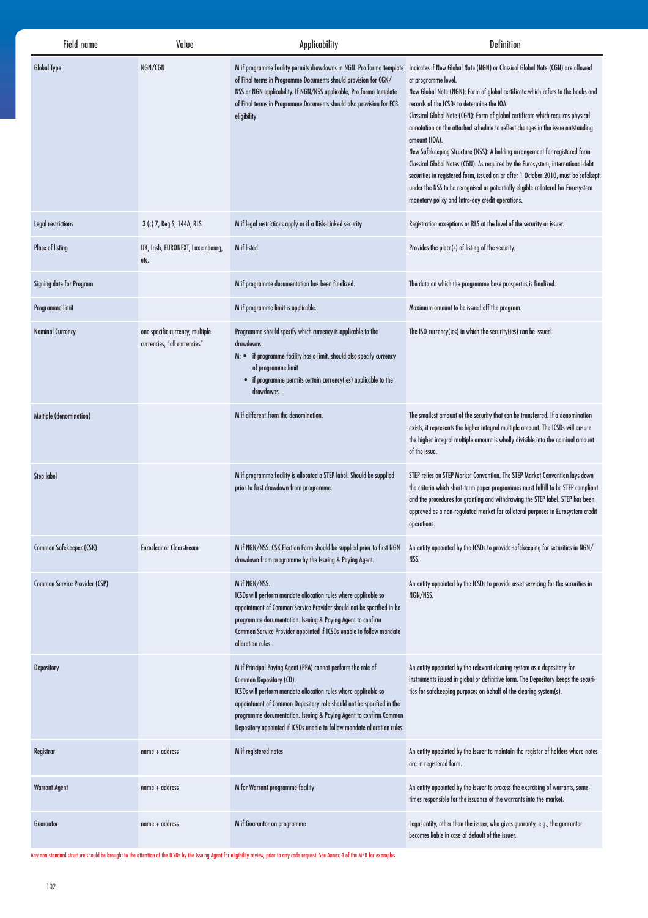| Field name                    | Value                                                           | <b>Applicability</b>                                                                                                                                                                                                                                                                                                                                                                | <b>Definition</b>                                                                                                                                                                                                                                                                                                                                                                                                                                                                                                                                                                                                                                                                                                                                                                                                                                                                                |
|-------------------------------|-----------------------------------------------------------------|-------------------------------------------------------------------------------------------------------------------------------------------------------------------------------------------------------------------------------------------------------------------------------------------------------------------------------------------------------------------------------------|--------------------------------------------------------------------------------------------------------------------------------------------------------------------------------------------------------------------------------------------------------------------------------------------------------------------------------------------------------------------------------------------------------------------------------------------------------------------------------------------------------------------------------------------------------------------------------------------------------------------------------------------------------------------------------------------------------------------------------------------------------------------------------------------------------------------------------------------------------------------------------------------------|
| <b>Global Type</b>            | NGN/CGN                                                         | of Final terms in Programme Documents should provision for CGN/<br>NSS or NGN applicability. If NGN/NSS applicable, Pro forma template<br>of Final terms in Programme Documents should also provision for ECB<br>eligibility                                                                                                                                                        | M if programme facility permits drawdowns in NGN. Pro forma template Indicates if New Global Note (NGN) or Classical Global Note (CGN) are allowed<br>at programme level.<br>New Global Note (NGN): Form of global certificate which refers to the books and<br>records of the ICSDs to determine the IOA.<br>Classical Global Note (CGN): Form of global certificate which requires physical<br>annotation on the attached schedule to reflect changes in the issue outstanding<br>amount (IOA).<br>New Safekeeping Structure (NSS): A holding arrangement for registered form<br>Classical Global Notes (CGN). As required by the Eurosystem, international debt<br>securities in registered form, issued on or after 1 October 2010, must be safekept<br>under the NSS to be recognised as potentially eligible collateral for Eurosystem<br>monetary policy and Intra-day credit operations. |
| Legal restrictions            | 3 (c) 7, Reg S, 144A, RLS                                       | M if legal restrictions apply or if a Risk-Linked security                                                                                                                                                                                                                                                                                                                          | Registration exceptions or RLS at the level of the security or issuer.                                                                                                                                                                                                                                                                                                                                                                                                                                                                                                                                                                                                                                                                                                                                                                                                                           |
| Place of listing              | UK, Irish, EURONEXT, Luxembourg,<br>etc.                        | M if listed                                                                                                                                                                                                                                                                                                                                                                         | Provides the place(s) of listing of the security.                                                                                                                                                                                                                                                                                                                                                                                                                                                                                                                                                                                                                                                                                                                                                                                                                                                |
| Signing date for Program      |                                                                 | M if programme documentation has been finalized.                                                                                                                                                                                                                                                                                                                                    | The data on which the programme base prospectus is finalized.                                                                                                                                                                                                                                                                                                                                                                                                                                                                                                                                                                                                                                                                                                                                                                                                                                    |
| Programme limit               |                                                                 | M if programme limit is applicable.                                                                                                                                                                                                                                                                                                                                                 | Maximum amount to be issued off the program.                                                                                                                                                                                                                                                                                                                                                                                                                                                                                                                                                                                                                                                                                                                                                                                                                                                     |
| <b>Nominal Currency</b>       | one specific currency, multiple<br>currencies, "all currencies" | Programme should specify which currency is applicable to the<br>drawdowns.<br>M: • if programme facility has a limit, should also specify currency<br>of programme limit<br>• if programme permits certain currency(ies) applicable to the<br>drawdowns.                                                                                                                            | The ISO currency(ies) in which the security(ies) can be issued.                                                                                                                                                                                                                                                                                                                                                                                                                                                                                                                                                                                                                                                                                                                                                                                                                                  |
| Multiple (denomination)       |                                                                 | M if different from the denomination.                                                                                                                                                                                                                                                                                                                                               | The smallest amount of the security that can be transferred. If a denomination<br>exists, it represents the higher integral multiple amount. The ICSDs will ensure<br>the higher integral multiple amount is wholly divisible into the nominal amount<br>of the issue.                                                                                                                                                                                                                                                                                                                                                                                                                                                                                                                                                                                                                           |
| <b>Step label</b>             |                                                                 | M if programme facility is allocated a STEP label. Should be supplied<br>prior to first drawdown from programme.                                                                                                                                                                                                                                                                    | STEP relies on STEP Market Convention. The STEP Market Convention lays down<br>the criteria which short-term paper programmes must fulfill to be STEP compliant<br>and the procedures for granting and withdrawing the STEP label. STEP has been<br>approved as a non-regulated market for collateral purposes in Eurosystem credit<br>operations.                                                                                                                                                                                                                                                                                                                                                                                                                                                                                                                                               |
| Common Safekeeper (CSK)       | <b>Euroclear or Clearstream</b>                                 | M if NGN/NSS. CSK Election Form should be supplied prior to first NGN<br>drawdown from programme by the Issuing & Paying Agent.                                                                                                                                                                                                                                                     | An entity appointed by the ICSDs to provide safekeeping for securities in NGN/<br>NSS.                                                                                                                                                                                                                                                                                                                                                                                                                                                                                                                                                                                                                                                                                                                                                                                                           |
| Common Service Provider (CSP) |                                                                 | M if NGN/NSS.<br>ICSDs will perform mandate allocation rules where applicable so<br>appointment of Common Service Provider should not be specified in he<br>programme documentation. Issuing & Paying Agent to confirm<br>Common Service Provider appointed if ICSDs unable to follow mandate<br>allocation rules.                                                                  | An entity appointed by the ICSDs to provide asset servicing for the securities in<br>NGN/NSS.                                                                                                                                                                                                                                                                                                                                                                                                                                                                                                                                                                                                                                                                                                                                                                                                    |
| <b>Depository</b>             |                                                                 | M if Principal Paying Agent (PPA) cannot perform the role of<br>Common Depositary (CD).<br>ICSDs will perform mandate allocation rules where applicable so<br>appointment of Common Depository role should not be specified in the<br>programme documentation. Issuing & Paying Agent to confirm Common<br>Depository appointed if ICSDs unable to follow mandate allocation rules. | An entity appointed by the relevant clearing system as a depository for<br>instruments issued in global or definitive form. The Depository keeps the securi-<br>ties for safekeeping purposes on behalf of the clearing system(s).                                                                                                                                                                                                                                                                                                                                                                                                                                                                                                                                                                                                                                                               |
| Registrar                     | name + address                                                  | M if registered notes                                                                                                                                                                                                                                                                                                                                                               | An entity appointed by the Issuer to maintain the register of holders where notes<br>are in registered form.                                                                                                                                                                                                                                                                                                                                                                                                                                                                                                                                                                                                                                                                                                                                                                                     |
| <b>Warrant Agent</b>          | name + address                                                  | M for Warrant programme facility                                                                                                                                                                                                                                                                                                                                                    | An entity appointed by the Issuer to process the exercising of warrants, some-<br>times responsible for the issuance of the warrants into the market.                                                                                                                                                                                                                                                                                                                                                                                                                                                                                                                                                                                                                                                                                                                                            |
| Guarantor                     | $name + address$                                                | M if Guarantor on programme                                                                                                                                                                                                                                                                                                                                                         | Legal entity, other than the issuer, who gives guaranty, e.g., the guarantor<br>becomes liable in case of default of the issuer.                                                                                                                                                                                                                                                                                                                                                                                                                                                                                                                                                                                                                                                                                                                                                                 |

Any non-standard structure should be brought to the attention of the ICSDs by the Issuing Agent for eligibility review, prior to any code request. See Annex 4 of the MPB for examples.